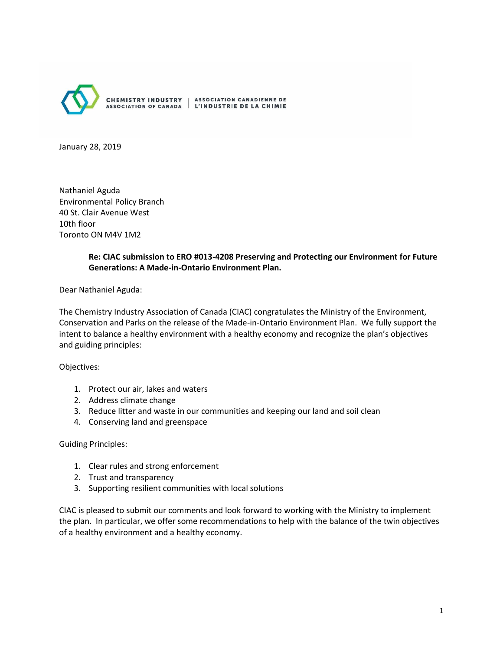

January 28, 2019

Nathaniel Aguda Environmental Policy Branch 40 St. Clair Avenue West 10th floor Toronto ON M4V 1M2

#### **Re: CIAC submission to ERO #013-4208 Preserving and Protecting our Environment for Future Generations: A Made-in-Ontario Environment Plan.**

Dear Nathaniel Aguda:

The Chemistry Industry Association of Canada (CIAC) congratulates the Ministry of the Environment, Conservation and Parks on the release of the Made-in-Ontario Environment Plan. We fully support the intent to balance a healthy environment with a healthy economy and recognize the plan's objectives and guiding principles:

#### Objectives:

- 1. Protect our air, lakes and waters
- 2. Address climate change
- 3. Reduce litter and waste in our communities and keeping our land and soil clean
- 4. Conserving land and greenspace

#### Guiding Principles:

- 1. Clear rules and strong enforcement
- 2. Trust and transparency
- 3. Supporting resilient communities with local solutions

CIAC is pleased to submit our comments and look forward to working with the Ministry to implement the plan. In particular, we offer some recommendations to help with the balance of the twin objectives of a healthy environment and a healthy economy.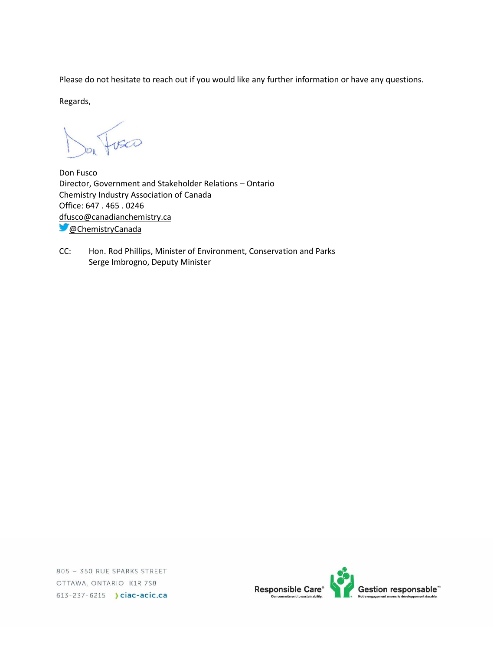Please do not hesitate to reach out if you would like any further information or have any questions.

Regards,

Don Fusco Director, Government and Stakeholder Relations – Ontario Chemistry Industry Association of Canada Office: 647 . 465 . 0246 [dfusco@canadianchemistry.ca](mailto:dfusco@canadianchemistry.ca) **C** [@ChemistryCanada](https://twitter.com/ChemistryCanada)

CC: Hon. Rod Phillips, Minister of Environment, Conservation and Parks Serge Imbrogno, Deputy Minister

805 - 350 RUE SPARKS STREET OTTAWA, ONTARIO K1R 7S8 613-237-6215 > ciac-acic.ca

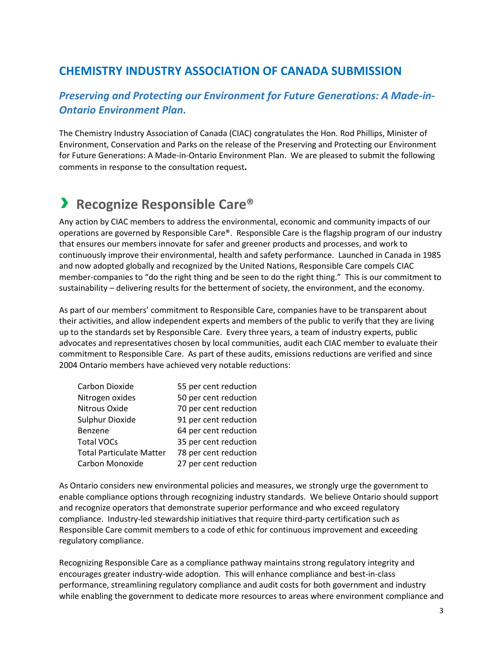## **CHEMISTRY INDUSTRY ASSOCIATION OF CANADA SUBMISSION**

## *Preserving and Protecting our Environment for Future Generations: A Made-in-Ontario Environment Plan.*

The Chemistry Industry Association of Canada (CIAC) congratulates the Hon. Rod Phillips, Minister of Environment, Conservation and Parks on the release of the Preserving and Protecting our Environment for Future Generations: A Made-in-Ontario Environment Plan. We are pleased to submit the following comments in response to the consultation request**.**

## › **Recognize Responsible Care®**

Any action by CIAC members to address the environmental, economic and community impacts of our operations are governed by Responsible Care®. Responsible Care is the flagship program of our industry that ensures our members innovate for safer and greener products and processes, and work to continuously improve their environmental, health and safety performance. Launched in Canada in 1985 and now adopted globally and recognized by the United Nations, Responsible Care compels CIAC member-companies to "do the right thing and be seen to do the right thing." This is our commitment to sustainability – delivering results for the betterment of society, the environment, and the economy.

As part of our members' commitment to Responsible Care, companies have to be transparent about their activities, and allow independent experts and members of the public to verify that they are living up to the standards set by Responsible Care. Every three years, a team of industry experts, public advocates and representatives chosen by local communities, audit each CIAC member to evaluate their commitment to Responsible Care. As part of these audits, emissions reductions are verified and since 2004 Ontario members have achieved very notable reductions:

| Carbon Dioxide                  | 55 per cent reduction |
|---------------------------------|-----------------------|
| Nitrogen oxides                 | 50 per cent reduction |
| Nitrous Oxide                   | 70 per cent reduction |
| Sulphur Dioxide                 | 91 per cent reduction |
| Benzene                         | 64 per cent reduction |
| <b>Total VOCs</b>               | 35 per cent reduction |
| <b>Total Particulate Matter</b> | 78 per cent reduction |
| Carbon Monoxide                 | 27 per cent reduction |

As Ontario considers new environmental policies and measures, we strongly urge the government to enable compliance options through recognizing industry standards. We believe Ontario should support and recognize operators that demonstrate superior performance and who exceed regulatory compliance. Industry-led stewardship initiatives that require third-party certification such as Responsible Care commit members to a code of ethic for continuous improvement and exceeding regulatory compliance.

Recognizing Responsible Care as a compliance pathway maintains strong regulatory integrity and encourages greater industry-wide adoption. This will enhance compliance and best-in-class performance, streamlining regulatory compliance and audit costs for both government and industry while enabling the government to dedicate more resources to areas where environment compliance and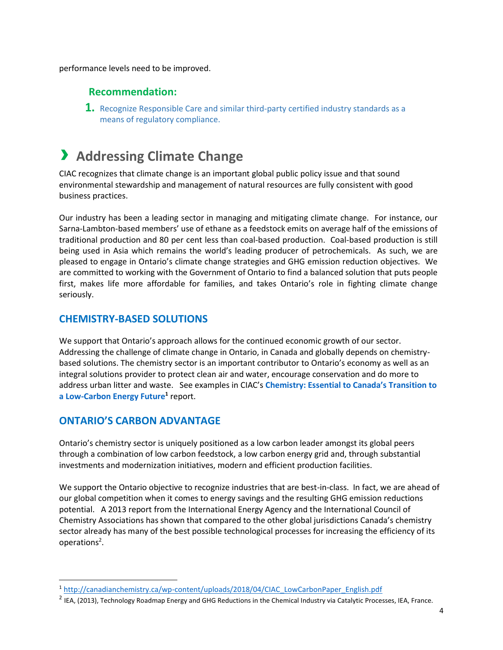performance levels need to be improved.

## **Recommendation:**

**1.** Recognize Responsible Care and similar third-party certified industry standards as a means of regulatory compliance.

## › **Addressing Climate Change**

CIAC recognizes that climate change is an important global public policy issue and that sound environmental stewardship and management of natural resources are fully consistent with good business practices.

Our industry has been a leading sector in managing and mitigating climate change. For instance, our Sarna-Lambton-based members' use of ethane as a feedstock emits on average half of the emissions of traditional production and 80 per cent less than coal-based production. Coal-based production is still being used in Asia which remains the world's leading producer of petrochemicals. As such, we are pleased to engage in Ontario's climate change strategies and GHG emission reduction objectives. We are committed to working with the Government of Ontario to find a balanced solution that puts people first, makes life more affordable for families, and takes Ontario's role in fighting climate change seriously.

### **CHEMISTRY-BASED SOLUTIONS**

We support that Ontario's approach allows for the continued economic growth of our sector. Addressing the challenge of climate change in Ontario, in Canada and globally depends on chemistrybased solutions. The chemistry sector is an important contributor to Ontario's economy as well as an integral solutions provider to protect clean air and water, encourage conservation and do more to address urban litter and waste. See examples in CIAC's **Chemistry: Essential to Canada's Transition to a Low-Carbon Energy Future<sup>1</sup>** report.

## **ONTARIO'S CARBON ADVANTAGE**

 $\overline{a}$ 

Ontario's chemistry sector is uniquely positioned as a low carbon leader amongst its global peers through a combination of low carbon feedstock, a low carbon energy grid and, through substantial investments and modernization initiatives, modern and efficient production facilities.

We support the Ontario objective to recognize industries that are best-in-class. In fact, we are ahead of our global competition when it comes to energy savings and the resulting GHG emission reductions potential. A 2013 report from the International Energy Agency and the International Council of Chemistry Associations has shown that compared to the other global jurisdictions Canada's chemistry sector already has many of the best possible technological processes for increasing the efficiency of its operations<sup>2</sup>.

<sup>1</sup> [http://canadianchemistry.ca/wp-content/uploads/2018/04/CIAC\\_LowCarbonPaper\\_English.pdf](http://canadianchemistry.ca/wp-content/uploads/2018/04/CIAC_LowCarbonPaper_English.pdf)

 $^2$  IEA, (2013), Technology Roadmap Energy and GHG Reductions in the Chemical Industry via Catalytic Processes, IEA, France.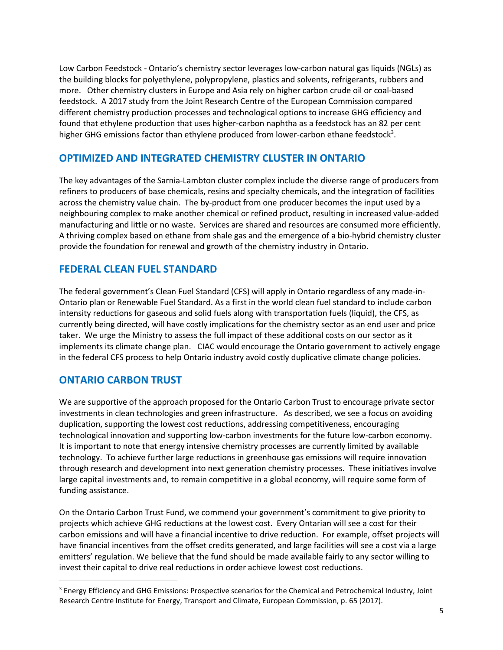Low Carbon Feedstock - Ontario's chemistry sector leverages low-carbon natural gas liquids (NGLs) as the building blocks for polyethylene, polypropylene, plastics and solvents, refrigerants, rubbers and more. Other chemistry clusters in Europe and Asia rely on higher carbon crude oil or coal-based feedstock. A 2017 study from the Joint Research Centre of the European Commission compared different chemistry production processes and technological options to increase GHG efficiency and found that ethylene production that uses higher-carbon naphtha as a feedstock has an 82 per cent higher GHG emissions factor than ethylene produced from lower-carbon ethane feedstock<sup>3</sup>.

## **OPTIMIZED AND INTEGRATED CHEMISTRY CLUSTER IN ONTARIO**

The key advantages of the Sarnia-Lambton cluster complex include the diverse range of producers from refiners to producers of base chemicals, resins and specialty chemicals, and the integration of facilities across the chemistry value chain. The by-product from one producer becomes the input used by a neighbouring complex to make another chemical or refined product, resulting in increased value-added manufacturing and little or no waste. Services are shared and resources are consumed more efficiently. A thriving complex based on ethane from shale gas and the emergence of a bio-hybrid chemistry cluster provide the foundation for renewal and growth of the chemistry industry in Ontario.

## **FEDERAL CLEAN FUEL STANDARD**

The federal government's Clean Fuel Standard (CFS) will apply in Ontario regardless of any made-in-Ontario plan or Renewable Fuel Standard. As a first in the world clean fuel standard to include carbon intensity reductions for gaseous and solid fuels along with transportation fuels (liquid), the CFS, as currently being directed, will have costly implications for the chemistry sector as an end user and price taker. We urge the Ministry to assess the full impact of these additional costs on our sector as it implements its climate change plan. CIAC would encourage the Ontario government to actively engage in the federal CFS process to help Ontario industry avoid costly duplicative climate change policies.

## **ONTARIO CARBON TRUST**

l

We are supportive of the approach proposed for the Ontario Carbon Trust to encourage private sector investments in clean technologies and green infrastructure. As described, we see a focus on avoiding duplication, supporting the lowest cost reductions, addressing competitiveness, encouraging technological innovation and supporting low-carbon investments for the future low-carbon economy. It is important to note that energy intensive chemistry processes are currently limited by available technology. To achieve further large reductions in greenhouse gas emissions will require innovation through research and development into next generation chemistry processes. These initiatives involve large capital investments and, to remain competitive in a global economy, will require some form of funding assistance.

On the Ontario Carbon Trust Fund, we commend your government's commitment to give priority to projects which achieve GHG reductions at the lowest cost. Every Ontarian will see a cost for their carbon emissions and will have a financial incentive to drive reduction. For example, offset projects will have financial incentives from the offset credits generated, and large facilities will see a cost via a large emitters' regulation. We believe that the fund should be made available fairly to any sector willing to invest their capital to drive real reductions in order achieve lowest cost reductions.

<sup>&</sup>lt;sup>3</sup> Energy Efficiency and GHG Emissions: Prospective scenarios for the Chemical and Petrochemical Industry, Joint Research Centre Institute for Energy, Transport and Climate, European Commission, p. 65 (2017).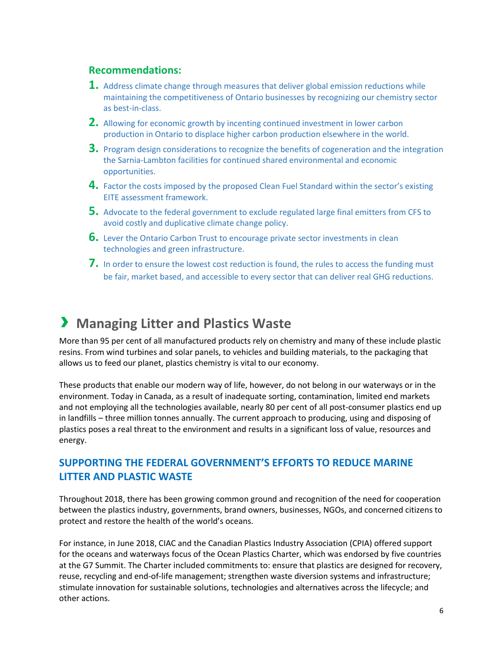### **Recommendations:**

- **1.** Address climate change through measures that deliver global emission reductions while maintaining the competitiveness of Ontario businesses by recognizing our chemistry sector as best-in-class.
- **2.** Allowing for economic growth by incenting continued investment in lower carbon production in Ontario to displace higher carbon production elsewhere in the world.
- **3.** Program design considerations to recognize the benefits of cogeneration and the integration the Sarnia-Lambton facilities for continued shared environmental and economic opportunities.
- **4.** Factor the costs imposed by the proposed Clean Fuel Standard within the sector's existing EITE assessment framework.
- **5.** Advocate to the federal government to exclude regulated large final emitters from CFS to avoid costly and duplicative climate change policy.
- **6.** Lever the Ontario Carbon Trust to encourage private sector investments in clean technologies and green infrastructure.
- **7.** In order to ensure the lowest cost reduction is found, the rules to access the funding must be fair, market based, and accessible to every sector that can deliver real GHG reductions.

## › **Managing Litter and Plastics Waste**

More than 95 per cent of all manufactured products rely on chemistry and many of these include plastic resins. From wind turbines and solar panels, to vehicles and building materials, to the packaging that allows us to feed our planet, plastics chemistry is vital to our economy.

These products that enable our modern way of life, however, do not belong in our waterways or in the environment. Today in Canada, as a result of inadequate sorting, contamination, limited end markets and not employing all the technologies available, nearly 80 per cent of all post-consumer plastics end up in landfills – three million tonnes annually. The current approach to producing, using and disposing of plastics poses a real threat to the environment and results in a significant loss of value, resources and energy.

## **SUPPORTING THE FEDERAL GOVERNMENT'S EFFORTS TO REDUCE MARINE LITTER AND PLASTIC WASTE**

Throughout 2018, there has been growing common ground and recognition of the need for cooperation between the plastics industry, governments, brand owners, businesses, NGOs, and concerned citizens to protect and restore the health of the world's oceans.

For instance, in June 2018, CIAC and the Canadian Plastics Industry Association (CPIA) offered support for the oceans and waterways focus of the Ocean Plastics Charter, which was endorsed by five countries at the G7 Summit. The Charter included commitments to: ensure that plastics are designed for recovery, reuse, recycling and end-of-life management; strengthen waste diversion systems and infrastructure; stimulate innovation for sustainable solutions, technologies and alternatives across the lifecycle; and other actions.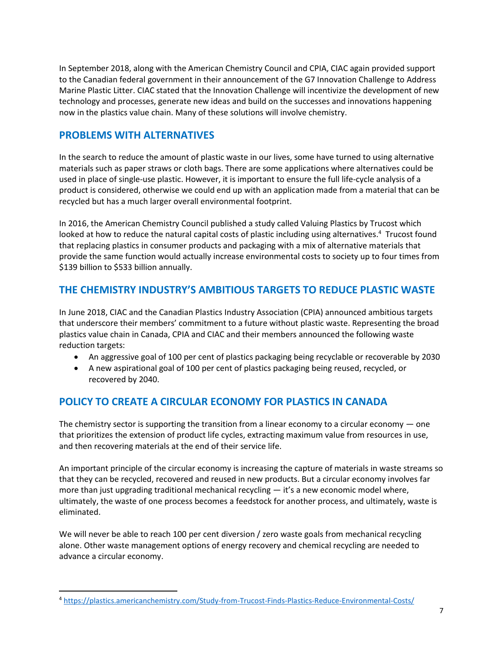In September 2018, along with the American Chemistry Council and CPIA, CIAC again provided support to the Canadian federal government in their announcement of the G7 Innovation Challenge to Address Marine Plastic Litter. CIAC stated that the Innovation Challenge will incentivize the development of new technology and processes, generate new ideas and build on the successes and innovations happening now in the plastics value chain. Many of these solutions will involve chemistry.

## **PROBLEMS WITH ALTERNATIVES**

 $\overline{a}$ 

In the search to reduce the amount of plastic waste in our lives, some have turned to using alternative materials such as paper straws or cloth bags. There are some applications where alternatives could be used in place of single-use plastic. However, it is important to ensure the full life-cycle analysis of a product is considered, otherwise we could end up with an application made from a material that can be recycled but has a much larger overall environmental footprint.

In 2016, the American Chemistry Council published a study called Valuing Plastics by Trucost which looked at how to reduce the natural capital costs of plastic including using alternatives.<sup>4</sup> Trucost found that replacing plastics in consumer products and packaging with a mix of alternative materials that provide the same function would actually increase environmental costs to society up to four times from \$139 billion to \$533 billion annually.

## **THE CHEMISTRY INDUSTRY'S AMBITIOUS TARGETS TO REDUCE PLASTIC WASTE**

In June 2018, CIAC and the Canadian Plastics Industry Association (CPIA) announced ambitious targets that underscore their members' commitment to a future without plastic waste. Representing the broad plastics value chain in Canada, CPIA and CIAC and their members announced the following waste reduction targets:

- An aggressive goal of 100 per cent of plastics packaging being recyclable or recoverable by 2030
- A new aspirational goal of 100 per cent of plastics packaging being reused, recycled, or recovered by 2040.

## **POLICY TO CREATE A CIRCULAR ECONOMY FOR PLASTICS IN CANADA**

The chemistry sector is supporting the transition from a linear economy to a circular economy — one that prioritizes the extension of product life cycles, extracting maximum value from resources in use, and then recovering materials at the end of their service life.

An important principle of the circular economy is increasing the capture of materials in waste streams so that they can be recycled, recovered and reused in new products. But a circular economy involves far more than just upgrading traditional mechanical recycling — it's a new economic model where, ultimately, the waste of one process becomes a feedstock for another process, and ultimately, waste is eliminated.

We will never be able to reach 100 per cent diversion / zero waste goals from mechanical recycling alone. Other waste management options of energy recovery and chemical recycling are needed to advance a circular economy.

<sup>4</sup> <https://plastics.americanchemistry.com/Study-from-Trucost-Finds-Plastics-Reduce-Environmental-Costs/>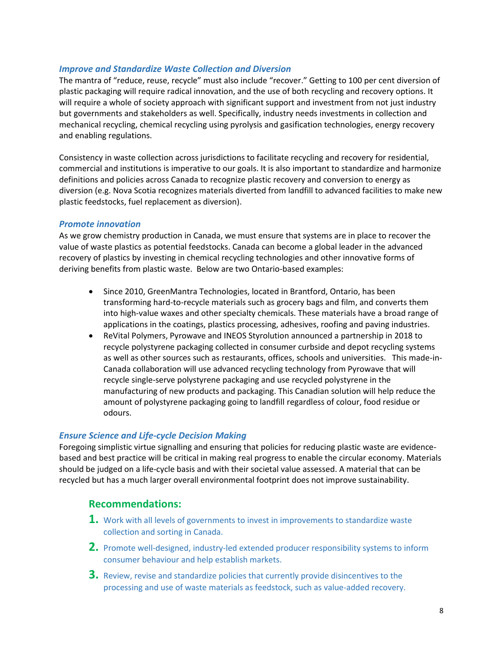#### *Improve and Standardize Waste Collection and Diversion*

The mantra of "reduce, reuse, recycle" must also include "recover." Getting to 100 per cent diversion of plastic packaging will require radical innovation, and the use of both recycling and recovery options. It will require a whole of society approach with significant support and investment from not just industry but governments and stakeholders as well. Specifically, industry needs investments in collection and mechanical recycling, chemical recycling using pyrolysis and gasification technologies, energy recovery and enabling regulations.

Consistency in waste collection across jurisdictions to facilitate recycling and recovery for residential, commercial and institutions is imperative to our goals. It is also important to standardize and harmonize definitions and policies across Canada to recognize plastic recovery and conversion to energy as diversion (e.g. Nova Scotia recognizes materials diverted from landfill to advanced facilities to make new plastic feedstocks, fuel replacement as diversion).

#### *Promote innovation*

As we grow chemistry production in Canada, we must ensure that systems are in place to recover the value of waste plastics as potential feedstocks. Canada can become a global leader in the advanced recovery of plastics by investing in chemical recycling technologies and other innovative forms of deriving benefits from plastic waste. Below are two Ontario-based examples:

- Since 2010, GreenMantra Technologies, located in Brantford, Ontario, has been transforming hard-to-recycle materials such as grocery bags and film, and converts them into high-value waxes and other specialty chemicals. These materials have a broad range of applications in the coatings, plastics processing, adhesives, roofing and paving industries.
- ReVital Polymers, Pyrowave and INEOS Styrolution announced a partnership in 2018 to recycle polystyrene packaging collected in consumer curbside and depot recycling systems as well as other sources such as restaurants, offices, schools and universities. This made-in-Canada collaboration will use advanced recycling technology from Pyrowave that will recycle single-serve polystyrene packaging and use recycled polystyrene in the manufacturing of new products and packaging. This Canadian solution will help reduce the amount of polystyrene packaging going to landfill regardless of colour, food residue or odours.

#### *Ensure Science and Life-cycle Decision Making*

Foregoing simplistic virtue signalling and ensuring that policies for reducing plastic waste are evidencebased and best practice will be critical in making real progress to enable the circular economy. Materials should be judged on a life-cycle basis and with their societal value assessed. A material that can be recycled but has a much larger overall environmental footprint does not improve sustainability.

### **Recommendations:**

- **1.** Work with all levels of governments to invest in improvements to standardize waste collection and sorting in Canada.
- **2.** Promote well-designed, industry-led extended producer responsibility systems to inform consumer behaviour and help establish markets.
- **3.** Review, revise and standardize policies that currently provide disincentives to the processing and use of waste materials as feedstock, such as value-added recovery.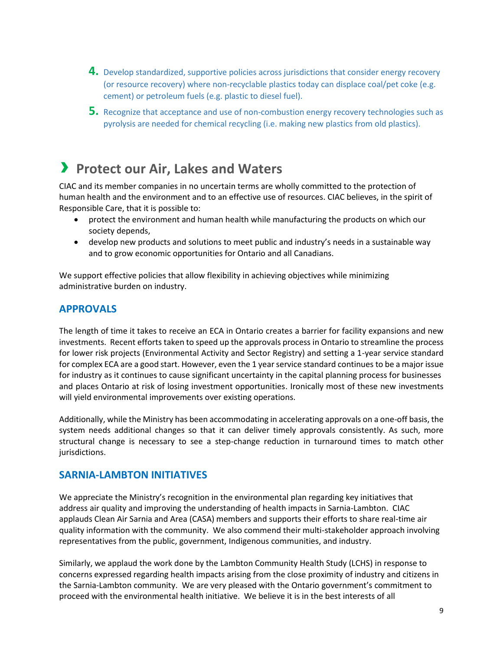- **4.** Develop standardized, supportive policies across jurisdictions that consider energy recovery (or resource recovery) where non-recyclable plastics today can displace coal/pet coke (e.g. cement) or petroleum fuels (e.g. plastic to diesel fuel).
- **5.** Recognize that acceptance and use of non-combustion energy recovery technologies such as pyrolysis are needed for chemical recycling (i.e. making new plastics from old plastics).

## › **Protect our Air, Lakes and Waters**

CIAC and its member companies in no uncertain terms are wholly committed to the protection of human health and the environment and to an effective use of resources. CIAC believes, in the spirit of Responsible Care, that it is possible to:

- protect the environment and human health while manufacturing the products on which our society depends,
- develop new products and solutions to meet public and industry's needs in a sustainable way and to grow economic opportunities for Ontario and all Canadians.

We support effective policies that allow flexibility in achieving objectives while minimizing administrative burden on industry.

## **APPROVALS**

The length of time it takes to receive an ECA in Ontario creates a barrier for facility expansions and new investments. Recent efforts taken to speed up the approvals process in Ontario to streamline the process for lower risk projects (Environmental Activity and Sector Registry) and setting a 1-year service standard for complex ECA are a good start. However, even the 1 year service standard continues to be a major issue for industry as it continues to cause significant uncertainty in the capital planning process for businesses and places Ontario at risk of losing investment opportunities. Ironically most of these new investments will yield environmental improvements over existing operations.

Additionally, while the Ministry has been accommodating in accelerating approvals on a one-off basis, the system needs additional changes so that it can deliver timely approvals consistently. As such, more structural change is necessary to see a step-change reduction in turnaround times to match other jurisdictions.

### **SARNIA-LAMBTON INITIATIVES**

We appreciate the Ministry's recognition in the environmental plan regarding key initiatives that address air quality and improving the understanding of health impacts in Sarnia-Lambton. CIAC applauds Clean Air Sarnia and Area (CASA) members and supports their efforts to share real-time air quality information with the community. We also commend their multi-stakeholder approach involving representatives from the public, government, Indigenous communities, and industry.

Similarly, we applaud the work done by the Lambton Community Health Study (LCHS) in response to concerns expressed regarding health impacts arising from the close proximity of industry and citizens in the Sarnia-Lambton community. We are very pleased with the Ontario government's commitment to proceed with the environmental health initiative. We believe it is in the best interests of all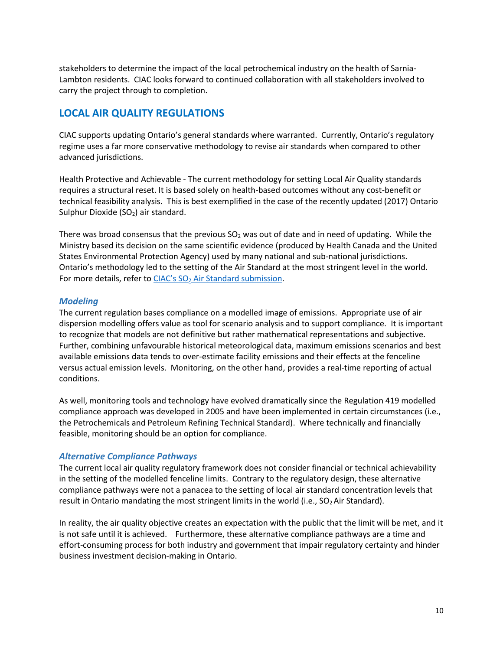stakeholders to determine the impact of the local petrochemical industry on the health of Sarnia-Lambton residents. CIAC looks forward to continued collaboration with all stakeholders involved to carry the project through to completion.

## **LOCAL AIR QUALITY REGULATIONS**

CIAC supports updating Ontario's general standards where warranted. Currently, Ontario's regulatory regime uses a far more conservative methodology to revise air standards when compared to other advanced jurisdictions.

Health Protective and Achievable - The current methodology for setting Local Air Quality standards requires a structural reset. It is based solely on health-based outcomes without any cost-benefit or technical feasibility analysis. This is best exemplified in the case of the recently updated (2017) Ontario Sulphur Dioxide (SO<sub>2</sub>) air standard.

There was broad consensus that the previous  $SO<sub>2</sub>$  was out of date and in need of updating. While the Ministry based its decision on the same scientific evidence (produced by Health Canada and the United States Environmental Protection Agency) used by many national and sub-national jurisdictions. Ontario's methodology led to the setting of the Air Standard at the most stringent level in the world. For more details, refer to CIAC's SO<sub>2</sub> [Air Standard submission.](https://canadianchemistry.ca/blog/2018/02/15/ciac-supportive-of-ontarios-move-to-modernize-sulphur-dioxide-operating-conditions/)

#### *Modeling*

The current regulation bases compliance on a modelled image of emissions. Appropriate use of air dispersion modelling offers value as tool for scenario analysis and to support compliance. It is important to recognize that models are not definitive but rather mathematical representations and subjective. Further, combining unfavourable historical meteorological data, maximum emissions scenarios and best available emissions data tends to over-estimate facility emissions and their effects at the fenceline versus actual emission levels. Monitoring, on the other hand, provides a real-time reporting of actual conditions.

As well, monitoring tools and technology have evolved dramatically since the Regulation 419 modelled compliance approach was developed in 2005 and have been implemented in certain circumstances (i.e., the Petrochemicals and Petroleum Refining Technical Standard). Where technically and financially feasible, monitoring should be an option for compliance.

#### *Alternative Compliance Pathways*

The current local air quality regulatory framework does not consider financial or technical achievability in the setting of the modelled fenceline limits. Contrary to the regulatory design, these alternative compliance pathways were not a panacea to the setting of local air standard concentration levels that result in Ontario mandating the most stringent limits in the world (i.e.,  $SO<sub>2</sub>$  Air Standard).

In reality, the air quality objective creates an expectation with the public that the limit will be met, and it is not safe until it is achieved. Furthermore, these alternative compliance pathways are a time and effort-consuming process for both industry and government that impair regulatory certainty and hinder business investment decision-making in Ontario.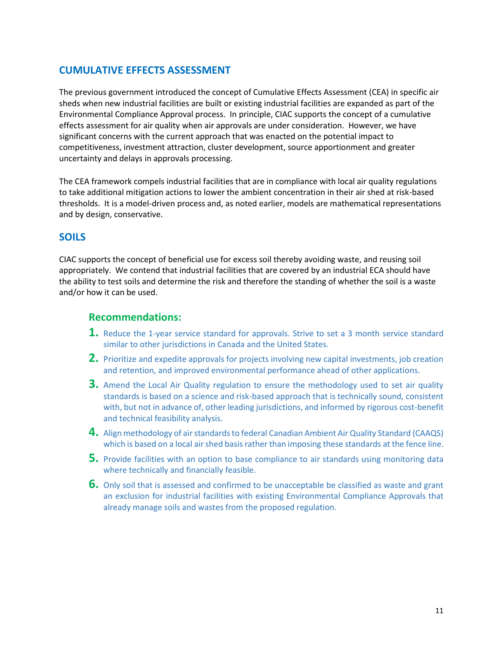## **CUMULATIVE EFFECTS ASSESSMENT**

The previous government introduced the concept of Cumulative Effects Assessment (CEA) in specific air sheds when new industrial facilities are built or existing industrial facilities are expanded as part of the Environmental Compliance Approval process. In principle, CIAC supports the concept of a cumulative effects assessment for air quality when air approvals are under consideration. However, we have significant concerns with the current approach that was enacted on the potential impact to competitiveness, investment attraction, cluster development, source apportionment and greater uncertainty and delays in approvals processing.

The CEA framework compels industrial facilities that are in compliance with local air quality regulations to take additional mitigation actions to lower the ambient concentration in their air shed at risk-based thresholds. It is a model-driven process and, as noted earlier, models are mathematical representations and by design, conservative.

### **SOILS**

CIAC supports the concept of beneficial use for excess soil thereby avoiding waste, and reusing soil appropriately. We contend that industrial facilities that are covered by an industrial ECA should have the ability to test soils and determine the risk and therefore the standing of whether the soil is a waste and/or how it can be used.

## **Recommendations:**

- **1.** Reduce the 1-year service standard for approvals. Strive to set a 3 month service standard similar to other jurisdictions in Canada and the United States.
- **2.** Prioritize and expedite approvals for projects involving new capital investments, job creation and retention, and improved environmental performance ahead of other applications.
- **3.** Amend the Local Air Quality regulation to ensure the methodology used to set air quality standards is based on a science and risk-based approach that is technically sound, consistent with, but not in advance of, other leading jurisdictions, and informed by rigorous cost-benefit and technical feasibility analysis.
- **4.** Align methodology of air standards to federal Canadian Ambient Air Quality Standard (CAAQS) which is based on a local air shed basis rather than imposing these standards at the fence line.
- **5.** Provide facilities with an option to base compliance to air standards using monitoring data where technically and financially feasible.
- **6.** Only soil that is assessed and confirmed to be unacceptable be classified as waste and grant an exclusion for industrial facilities with existing Environmental Compliance Approvals that already manage soils and wastes from the proposed regulation.